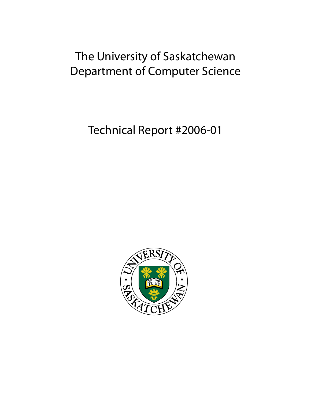# The University of Saskatchewan Department of Computer Science

Technical Report #2006-01

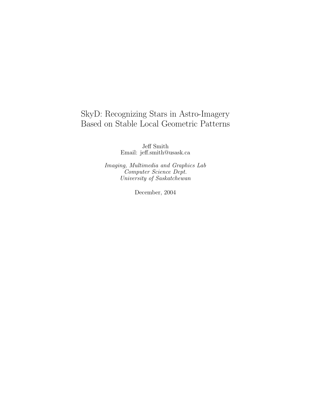## SkyD: Recognizing Stars in Astro-Imagery Based on Stable Local Geometric Patterns

Jeff Smith Email: jeff.smith@usask.ca

Imaging, Multimedia and Graphics Lab Computer Science Dept. University of Saskatchewan

December, 2004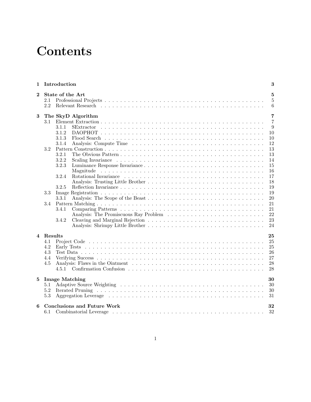# **Contents**

| 1        |            | Introduction |                                    | 3              |
|----------|------------|--------------|------------------------------------|----------------|
| $\bf{2}$ | 2.1<br>2.2 |              | State of the Art                   | 5<br>5<br>6    |
| 3        |            |              | The SkyD Algorithm                 | 7              |
|          | 3.1        |              |                                    | $\overline{7}$ |
|          |            | 3.1.1        |                                    | 9              |
|          |            | 3.1.2        |                                    | 10             |
|          |            | 3.1.3        |                                    | 10             |
|          |            | 3.1.4        |                                    | 12             |
|          | 3.2        |              |                                    | 13             |
|          |            | 3.2.1        |                                    | 13             |
|          |            | 3.2.2        |                                    | 14             |
|          |            | 3.2.3        |                                    | 15             |
|          |            |              |                                    | 16             |
|          |            | 3.2.4        |                                    | 17             |
|          |            |              |                                    | 18             |
|          |            | 3.2.5        |                                    | 19             |
|          | 3.3        |              |                                    | 19             |
|          |            | 3.3.1        |                                    | 20             |
|          | 3.4        | 3.4.1        |                                    | 21<br>21       |
|          |            |              |                                    | 22             |
|          |            | 3.4.2        |                                    | 23             |
|          |            |              |                                    | 24             |
|          |            |              |                                    |                |
| 4        | Results    |              |                                    | 25             |
|          | 4.1        |              |                                    | 25             |
|          | 4.2        |              |                                    | 25             |
|          | 4.3        |              |                                    | 26             |
|          | 4.4        |              |                                    | 27             |
|          | 4.5        |              |                                    | 28             |
|          |            | 4.5.1        |                                    | 28             |
| 5        |            |              | <b>Image Matching</b>              | 30             |
|          | 5.1        |              |                                    | 30             |
|          | 5.2        |              |                                    | 30             |
|          | 5.3        |              |                                    | 31             |
| 6        |            |              | <b>Conclusions and Future Work</b> | 32             |
|          | 6.1        |              |                                    | 32             |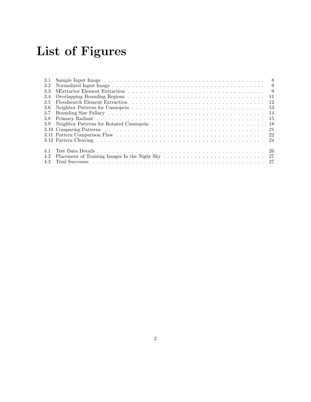# List of Figures

| 3.1  |                                                                                                                                                                                                                                |     |
|------|--------------------------------------------------------------------------------------------------------------------------------------------------------------------------------------------------------------------------------|-----|
| 3.2  |                                                                                                                                                                                                                                |     |
| 3.3  |                                                                                                                                                                                                                                |     |
| 3.4  |                                                                                                                                                                                                                                |     |
| 3.5  |                                                                                                                                                                                                                                |     |
| -3.6 | - 13                                                                                                                                                                                                                           |     |
| 3.7  |                                                                                                                                                                                                                                | -14 |
| 3.8  |                                                                                                                                                                                                                                |     |
| 3.9  |                                                                                                                                                                                                                                |     |
|      |                                                                                                                                                                                                                                |     |
|      |                                                                                                                                                                                                                                |     |
|      |                                                                                                                                                                                                                                |     |
|      |                                                                                                                                                                                                                                |     |
| 4.1  |                                                                                                                                                                                                                                |     |
| 4.2  |                                                                                                                                                                                                                                |     |
| 4.3  | Trial Successes response to the set of the set of the set of the set of the set of the set of the set of the set of the set of the set of the set of the set of the set of the set of the set of the set of the set of the set |     |
|      |                                                                                                                                                                                                                                |     |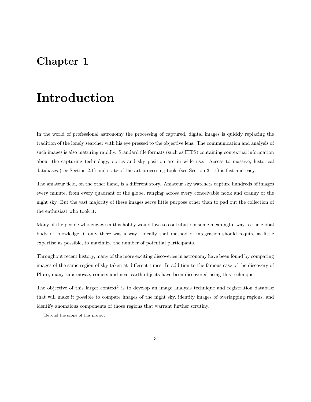## Chapter 1

## Introduction

In the world of professional astronomy the processing of captured, digital images is quickly replacing the tradition of the lonely searcher with his eye pressed to the objective lens. The communication and analysis of such images is also maturing rapidly. Standard file formats (such as FITS) containing contextual information about the capturing technology, optics and sky position are in wide use. Access to massive, historical databases (see Section 2.1) and state-of-the-art processing tools (see Section 3.1.1) is fast and easy.

The amateur field, on the other hand, is a different story. Amateur sky watchers capture hundreds of images every minute, from every quadrant of the globe, ranging across every conceivable nook and cranny of the night sky. But the vast majority of these images serve little purpose other than to pad out the collection of the enthusiast who took it.

Many of the people who engage in this hobby would love to contribute in some meaningful way to the global body of knowledge, if only there was a way. Ideally that method of integration should require as little expertise as possible, to maximize the number of potential participants.

Throughout recent history, many of the more exciting discoveries in astronomy have been found by comparing images of the same region of sky taken at different times. In addition to the famous case of the discovery of Pluto, many supernovae, comets and near-earth objects have been discovered using this technique.

The objective of this larger context<sup>1</sup> is to develop an image analysis technique and registration database that will make it possible to compare images of the night sky, identify images of overlapping regions, and identify anomalous components of those regions that warrant further scrutiny.

<sup>1</sup>Beyond the scope of this project.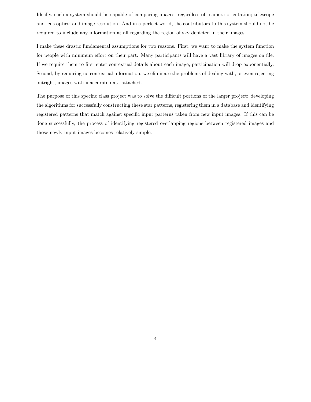Ideally, such a system should be capable of comparing images, regardless of: camera orientation; telescope and lens optics; and image resolution. And in a perfect world, the contributors to this system should not be required to include any information at all regarding the region of sky depicted in their images.

I make these drastic fundamental assumptions for two reasons. First, we want to make the system function for people with minimum effort on their part. Many participants will have a vast library of images on file. If we require them to first enter contextual details about each image, participation will drop exponentially. Second, by requiring no contextual information, we eliminate the problems of dealing with, or even rejecting outright, images with inaccurate data attached.

The purpose of this specific class project was to solve the difficult portions of the larger project: developing the algorithms for successfully constructing these star patterns, registering them in a database and identifying registered patterns that match against specific input patterns taken from new input images. If this can be done successfully, the process of identifying registered overlapping regions between registered images and those newly input images becomes relatively simple.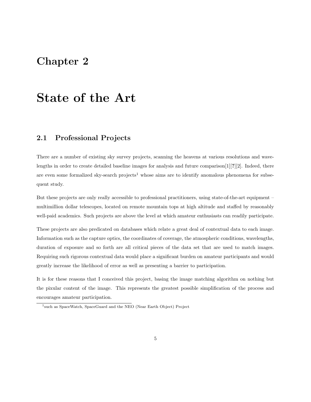## Chapter 2

## State of the Art

## 2.1 Professional Projects

There are a number of existing sky survey projects, scanning the heavens at various resolutions and wavelengths in order to create detailed baseline images for analysis and future comparison[1][?][2]. Indeed, there are even some formalized sky-search projects<sup>1</sup> whose aims are to identify anomalous phenomena for subsequent study.

But these projects are only really accessible to professional practitioners, using state-of-the-art equipment – multimillion dollar telescopes, located on remote mountain tops at high altitude and staffed by reasonably well-paid academics. Such projects are above the level at which amateur enthusiasts can readily participate.

These projects are also predicated on databases which relate a great deal of contextual data to each image. Information such as the capture optics, the coordinates of coverage, the atmospheric conditions, wavelengths, duration of exposure and so forth are all critical pieces of the data set that are used to match images. Requiring such rigorous contextual data would place a significant burden on amateur participants and would greatly increase the likelihood of error as well as presenting a barrier to participation.

It is for these reasons that I conceived this project, basing the image matching algorithm on nothing but the pixular content of the image. This represents the greatest possible simplification of the process and encourages amateur participation.

<sup>1</sup> such as SpaceWatch, SpaceGuard and the NEO (Near Earth Object) Project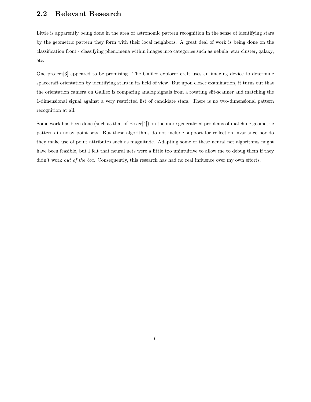### 2.2 Relevant Research

Little is apparently being done in the area of astronomic pattern recognition in the sense of identifying stars by the geometric pattern they form with their local neighbors. A great deal of work is being done on the classification front - classifying phenomena within images into categories such as nebula, star cluster, galaxy, etc.

One project[3] appeared to be promising. The Galileo explorer craft uses an imaging device to determine spacecraft orientation by identifying stars in its field of view. But upon closer examination, it turns out that the orientation camera on Galileo is comparing analog signals from a rotating slit-scanner and matching the 1-dimensional signal against a very restricted list of candidate stars. There is no two-dimensional pattern recognition at all.

Some work has been done (such as that of Boxer[4]) on the more generalized problems of matching geometric patterns in noisy point sets. But these algorithms do not include support for reflection invariance nor do they make use of point attributes such as magnitude. Adapting some of these neural net algorithms might have been feasible, but I felt that neural nets were a little too unintuitive to allow me to debug them if they didn't work *out of the box*. Consequently, this research has had no real influence over my own efforts.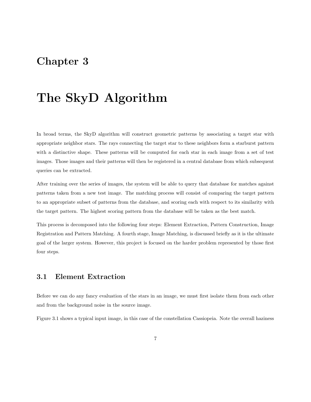## Chapter 3

## The SkyD Algorithm

In broad terms, the SkyD algorithm will construct geometric patterns by associating a target star with appropriate neighbor stars. The rays connecting the target star to these neighbors form a starburst pattern with a distinctive shape. These patterns will be computed for each star in each image from a set of test images. Those images and their patterns will then be registered in a central database from which subsequent queries can be extracted.

After training over the series of images, the system will be able to query that database for matches against patterns taken from a new test image. The matching process will consist of comparing the target pattern to an appropriate subset of patterns from the database, and scoring each with respect to its similarity with the target pattern. The highest scoring pattern from the database will be taken as the best match.

This process is decomposed into the following four steps: Element Extraction, Pattern Construction, Image Registration and Pattern Matching. A fourth stage, Image Matching, is discussed briefly as it is the ultimate goal of the larger system. However, this project is focused on the harder problem represented by those first four steps.

### 3.1 Element Extraction

Before we can do any fancy evaluation of the stars in an image, we must first isolate them from each other and from the background noise in the source image.

Figure 3.1 shows a typical input image, in this case of the constellation Cassiopeia. Note the overall haziness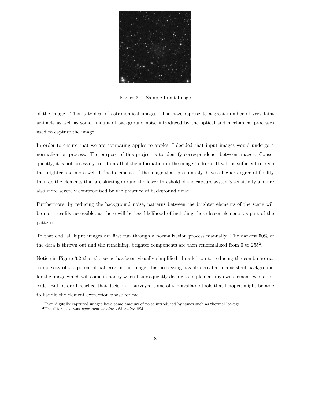

Figure 3.1: Sample Input Image

of the image. This is typical of astronomical images. The haze represents a great number of very faint artifacts as well as some amount of background noise introduced by the optical and mechanical processes used to capture the image<sup>1</sup>.

In order to ensure that we are comparing apples to apples, I decided that input images would undergo a normalization process. The purpose of this project is to identify correspondence between images. Consequently, it is not necessary to retain all of the information in the image to do so. It will be sufficient to keep the brighter and more well defined elements of the image that, presumably, have a higher degree of fidelity than do the elements that are skirting around the lower threshold of the capture system's sensitivity and are also more severely compromised by the presence of background noise.

Furthermore, by reducing the background noise, patterns between the brighter elements of the scene will be more readily accessible, as there will be less likelihood of including those lesser elements as part of the pattern.

To that end, all input images are first run through a normalization process manually. The darkest 50% of the data is thrown out and the remaining, brighter components are then renormalized from 0 to 255<sup>2</sup>.

Notice in Figure 3.2 that the scene has been visually simplified. In addition to reducing the combinatorial complexity of the potential patterns in the image, this processing has also created a consistent background for the image which will come in handy when I subsequently decide to implement my own element extraction code. But before I reached that decision, I surveyed some of the available tools that I hoped might be able to handle the element extraction phase for me.

 $1$ Even digitally captured images have some amount of noise introduced by issues such as thermal leakage.

<sup>&</sup>lt;sup>2</sup>The filter used was pgmnorm -bvalue  $128$  -value  $255$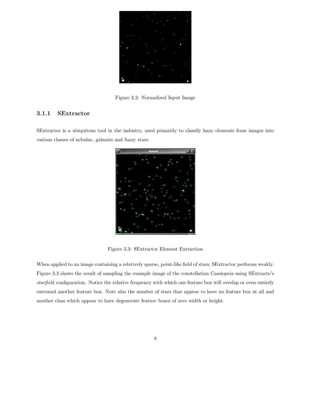

Figure 3.2: Normalized Input Image

### 3.1.1 SExtractor

SExtractor is a ubiquitous tool in the industry, used primarily to classify hazy elements from images into various classes of nebulae, galaxies and fuzzy stars.



Figure 3.3: SExtractor Element Extraction

When applied to an image containing a relatively sparse, point-like field of stars, SExtractor performs weakly. Figure 3.3 shows the result of sampling the example image of the constellation Cassiopeia using SExtracto's starfield configuration. Notice the relative frequency with which one feature box will overlap or even entirely surround another feature box. Note also the number of stars that appear to have no feature box at all and another class which appear to have degenerate feature boxes of zero width or height.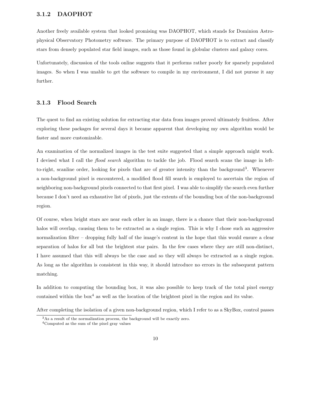#### 3.1.2 DAOPHOT

Another freely available system that looked promising was DAOPHOT, which stands for Dominion Astrophysical Observatory Photometry software. The primary purpose of DAOPHOT is to extract and classify stars from densely populated star field images, such as those found in globular clusters and galaxy cores.

Unfortunately, discussion of the tools online suggests that it performs rather poorly for sparsely populated images. So when I was unable to get the software to compile in my environment, I did not pursue it any further.

#### 3.1.3 Flood Search

The quest to find an existing solution for extracting star data from images proved ultimately fruitless. After exploring these packages for several days it became apparent that developing my own algorithm would be faster and more customizable.

An examination of the normalized images in the test suite suggested that a simple approach might work. I devised what I call the flood search algorithm to tackle the job. Flood search scans the image in leftto-right, scanline order, looking for pixels that are of greater intensity than the background<sup>3</sup>. Whenever a non-background pixel is encountered, a modified flood fill search is employed to ascertain the region of neighboring non-background pixels connected to that first pixel. I was able to simplify the search even further because I don't need an exhaustive list of pixels, just the extents of the bounding box of the non-background region.

Of course, when bright stars are near each other in an image, there is a chance that their non-background halos will overlap, causing them to be extracted as a single region. This is why I chose such an aggressive normalization filter – dropping fully half of the image's content in the hope that this would ensure a clear separation of halos for all but the brightest star pairs. In the few cases where they are still non-distinct, I have assumed that this will always be the case and so they will always be extracted as a single region. As long as the algorithm is consistent in this way, it should introduce no errors in the subsequent pattern matching.

In addition to computing the bounding box, it was also possible to keep track of the total pixel energy contained within the box <sup>4</sup> as well as the location of the brightest pixel in the region and its value.

After completing the isolation of a given non-background region, which I refer to as a SkyBox, control passes

<sup>&</sup>lt;sup>3</sup>As a result of the normalization process, the background will be exactly zero.

<sup>4</sup>Computed as the sum of the pixel gray values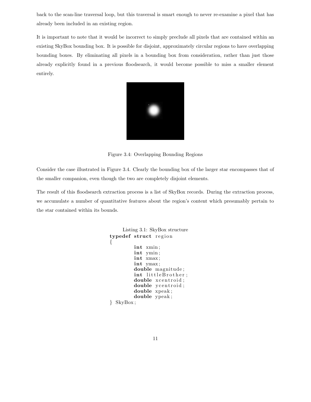back to the scan-line traversal loop, but this traversal is smart enough to never re-examine a pixel that has already been included in an existing region.

It is important to note that it would be incorrect to simply preclude all pixels that are contained within an existing SkyBox bounding box. It is possible for disjoint, approximately circular regions to have overlapping bounding boxes. By eliminating all pixels in a bounding box from consideration, rather than just those already explicitly found in a previous floodsearch, it would become possible to miss a smaller element entirely.



Figure 3.4: Overlapping Bounding Regions

Consider the case illustrated in Figure 3.4. Clearly the bounding box of the larger star encompasses that of the smaller companion, even though the two are completely disjoint elements.

The result of this floodsearch extraction process is a list of SkyBox records. During the extraction process, we accumulate a number of quantitative features about the region's content which presumably pertain to the star contained within its bounds.

```
Listing 3.1: SkyBox structure
typedef struct region
{
         int xmin ;
         int ymin ;
         int xmax ;
         int ymax;
         double magnitude ;
         int littleBrother;
         double xcentroid;
         double ycentroid;
         double xpeak ;
         double ypeak ;
} SkyBox ;
```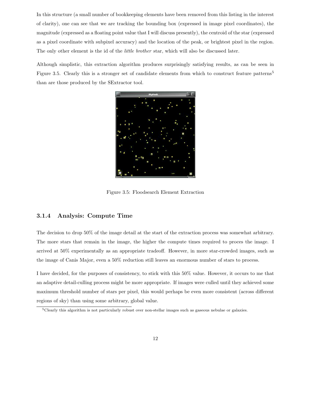In this structure (a small number of bookkeeping elements have been removed from this listing in the interest of clarity), one can see that we are tracking the bounding box (expressed in image pixel coordinates), the magnitude (expressed as a floating point value that I will discuss presently), the centroid of the star (expressed as a pixel coordinate with subpixel accuracy) and the location of the peak, or brightest pixel in the region. The only other element is the id of the *little brother* star, which will also be discussed later.

Although simplistic, this extraction algorithm produces surprisingly satisfying results, as can be seen in Figure 3.5. Clearly this is a stronger set of candidate elements from which to construct feature patterns<sup>5</sup> than are those produced by the SExtractor tool.



Figure 3.5: Floodsearch Element Extraction

#### 3.1.4 Analysis: Compute Time

The decision to drop 50% of the image detail at the start of the extraction process was somewhat arbitrary. The more stars that remain in the image, the higher the compute times required to proces the image. I arrived at 50% experimentally as an appropriate tradeoff. However, in more star-crowded images, such as the image of Canis Major, even a 50% reduction still leaves an enormous number of stars to process.

I have decided, for the purposes of consistency, to stick with this 50% value. However, it occurs to me that an adaptive detail-culling process might be more appropriate. If images were culled until they achieved some maximum threshold number of stars per pixel, this would perhaps be even more consistent (across different regions of sky) than using some arbitrary, global value.

 $5$ Clearly this algorithm is not particularly robust over non-stellar images such as gaseous nebulae or galaxies.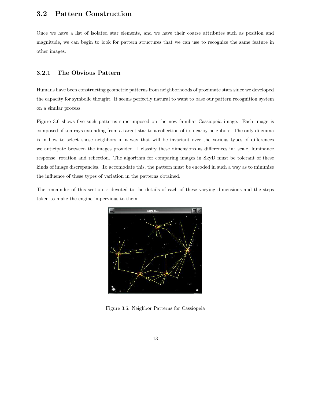## 3.2 Pattern Construction

Once we have a list of isolated star elements, and we have their coarse attributes such as position and magnitude, we can begin to look for pattern structures that we can use to recognize the same feature in other images.

#### 3.2.1 The Obvious Pattern

Humans have been constructing geometric patterns from neighborhoods of proximate stars since we developed the capacity for symbolic thought. It seems perfectly natural to want to base our pattern recognition system on a similar process.

Figure 3.6 shows five such patterns superimposed on the now-familiar Cassiopeia image. Each image is composed of ten rays extending from a target star to a collection of its nearby neighbors. The only dilemma is in how to select those neighbors in a way that will be invariant over the various types of differences we anticipate between the images provided. I classify these dimensions as differences in: scale, luminance response, rotation and reflection. The algorithm for comparing images in SkyD must be tolerant of these kinds of image discrepancies. To accomodate this, the pattern must be encoded in such a way as to minimize the influence of these types of variation in the patterns obtained.

The remainder of this section is devoted to the details of each of these varying dimensions and the steps taken to make the engine impervious to them.



Figure 3.6: Neighbor Patterns for Cassiopeia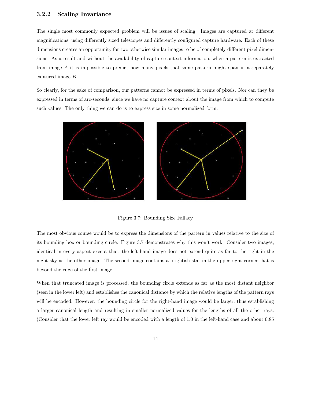#### 3.2.2 Scaling Invariance

The single most commonly expected problem will be issues of scaling. Images are captured at different magnifications, using differently sized telescopes and differently configured capture hardware. Each of these dimensions creates an opportunity for two otherwise similar images to be of completely different pixel dimensions. As a result and without the availability of capture context information, when a pattern is extracted from image A it is impossible to predict how many pixels that same pattern might span in a separately captured image B.

So clearly, for the sake of comparison, our patterns cannot be expressed in terms of pixels. Nor can they be expressed in terms of arc-seconds, since we have no capture context about the image from which to compute such values. The only thing we can do is to express size in some normalized form.



Figure 3.7: Bounding Size Fallacy

The most obvious course would be to express the dimensions of the pattern in values relative to the size of its bounding box or bounding circle. Figure 3.7 demonstrates why this won't work. Consider two images, identical in every aspect except that, the left hand image does not extend quite as far to the right in the night sky as the other image. The second image contains a brightish star in the upper right corner that is beyond the edge of the first image.

When that truncated image is processed, the bounding circle extends as far as the most distant neighbor (seen in the lower left) and establishes the canonical distance by which the relative lengths of the pattern rays will be encoded. However, the bounding circle for the right-hand image would be larger, thus establishing a larger canonical length and resulting in smaller normalized values for the lengths of all the other rays. (Consider that the lower left ray would be encoded with a length of 1.0 in the left-hand case and about 0.85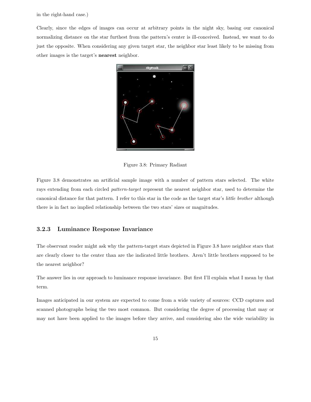in the right-hand case.)

Clearly, since the edges of images can occur at arbitrary points in the night sky, basing our canonical normalizing distance on the star furthest from the pattern's center is ill-conceived. Instead, we want to do just the opposite. When considering any given target star, the neighbor star least likely to be missing from other images is the target's nearest neighbor.



Figure 3.8: Primary Radiant

Figure 3.8 demonstrates an artificial sample image with a number of pattern stars selected. The white rays extending from each circled *pattern-target* represent the nearest neighbor star, used to determine the canonical distance for that pattern. I refer to this star in the code as the target star's little brother although there is in fact no implied relationship between the two stars' sizes or magnitudes.

### 3.2.3 Luminance Response Invariance

The observant reader might ask why the pattern-target stars depicted in Figure 3.8 have neighbor stars that are clearly closer to the center than are the indicated little brothers. Aren't little brothers supposed to be the nearest neighbor?

The answer lies in our approach to luminance response invariance. But first I'll explain what I mean by that term.

Images anticipated in our system are expected to come from a wide variety of sources: CCD captures and scanned photographs being the two most common. But considering the degree of processing that may or may not have been applied to the images before they arrive, and considering also the wide variability in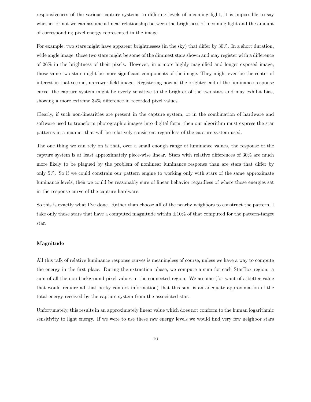responsiveness of the various capture systems to differing levels of incoming light, it is impossible to say whether or not we can assume a linear relationship between the brightness of incoming light and the amount of corresponding pixel energy represented in the image.

For example, two stars might have apparent brightnesses (in the sky) that differ by 30%. In a short duration, wide angle image, those two stars might be some of the dimmest stars shown and may register with a difference of 26% in the brightness of their pixels. However, in a more highly magnified and longer exposed image, those same two stars might be more significant components of the image. They might even be the center of interest in that second, narrower field image. Registering now at the brighter end of the luminance response curve, the capture system might be overly sensitive to the brighter of the two stars and may exhibit bias, showing a more extreme 34% difference in recorded pixel values.

Clearly, if such non-linearities are present in the capture system, or in the combination of hardware and software used to transform photographic images into digital form, then our algorithm must express the star patterns in a manner that will be relatively consistent regardless of the capture system used.

The one thing we can rely on is that, over a small enough range of luminance values, the response of the capture system is at least approximately piece-wise linear. Stars with relative differences of 30% are much more likely to be plagued by the problem of nonlinear luminance response than are stars that differ by only 5%. So if we could constrain our pattern engine to working only with stars of the same approximate luminance levels, then we could be reasonably sure of linear behavior regardless of where those energies sat in the response curve of the capture hardware.

So this is exactly what I've done. Rather than choose all of the nearby neighbors to construct the pattern, I take only those stars that have a computed magnitude within  $\pm 10\%$  of that computed for the pattern-target star.

#### Magnitude

All this talk of relative luminance response curves is meaningless of course, unless we have a way to compute the energy in the first place. During the extraction phase, we compute a sum for each StarBox region: a sum of all the non-background pixel values in the connected region. We assume (for want of a better value that would require all that pesky context information) that this sum is an adequate approximation of the total energy received by the capture system from the associated star.

Unfortunately, this results in an approximately linear value which does not conform to the human logarithmic sensitivity to light energy. If we were to use these raw energy levels we would find very few neighbor stars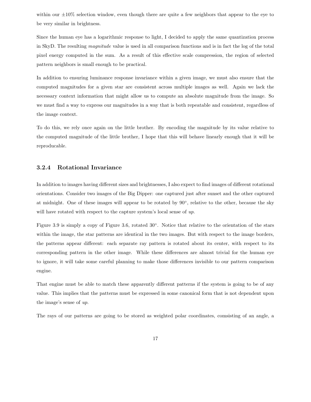within our  $\pm 10\%$  selection window, even though there are quite a few neighbors that appear to the eye to be very similar in brightness.

Since the human eye has a logarithmic response to light, I decided to apply the same quantization process in SkyD. The resulting magnitude value is used in all comparison functions and is in fact the log of the total pixel energy computed in the sum. As a result of this effective scale compression, the region of selected pattern neighbors is small enough to be practical.

In addition to ensuring luminance response invariance within a given image, we must also ensure that the computed magnitudes for a given star are consistent across multiple images as well. Again we lack the necessary context information that might allow us to compute an absolute magnitude from the image. So we must find a way to express our magnitudes in a way that is both repeatable and consistent, regardless of the image context.

To do this, we rely once again on the little brother. By encoding the magnitude by its value relative to the computed magnitude of the little brother, I hope that this will behave linearly enough that it will be reproducable.

#### 3.2.4 Rotational Invariance

In addition to images having different sizes and brightnesses, I also expect to find images of different rotational orientations. Consider two images of the Big Dipper: one captured just after sunset and the other captured at midnight. One of these images will appear to be rotated by 90°, relative to the other, because the sky will have rotated with respect to the capture system's local sense of  $up$ .

Figure 3.9 is simply a copy of Figure 3.6, rotated 30◦ . Notice that relative to the orientation of the stars within the image, the star patterns are identical in the two images. But with respect to the image borders, the patterns appear different: each separate ray pattern is rotated about its center, with respect to its corresponding pattern in the other image. While these differences are almost trivial for the human eye to ignore, it will take some careful planning to make those differences invisible to our pattern comparison engine.

That engine must be able to match these apparently different patterns if the system is going to be of any value. This implies that the patterns must be expressed in some canonical form that is not dependent upon the image's sense of up.

The rays of our patterns are going to be stored as weighted polar coordinates, comsisting of an angle, a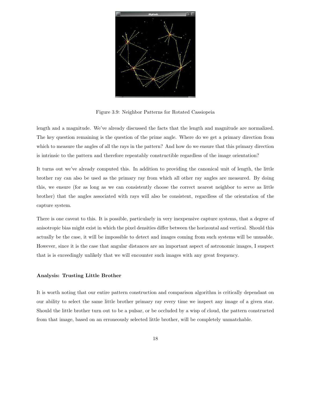

Figure 3.9: Neighbor Patterns for Rotated Cassiopeia

length and a magnitude. We've already discussed the facts that the length and magnitude are normalized. The key question remaining is the question of the prime angle. Where do we get a primary direction from which to measure the angles of all the rays in the pattern? And how do we ensure that this primary direction is intrinsic to the pattern and therefore repeatably constructible regardless of the image orientation?

It turns out we've already computed this. In addition to providing the canonical unit of length, the little brother ray can also be used as the primary ray from which all other ray angles are measured. By doing this, we ensure (for as long as we can consistently choose the correct nearest neighbor to serve as little brother) that the angles associated with rays will also be consistent, regardless of the orientation of the capture system.

There is one caveat to this. It is possible, particularly in very inexpensive capture systems, that a degree of anisotropic bias might exist in which the pixel densities differ between the horizontal and vertical. Should this actually be the case, it will be impossible to detect and images coming from such systems will be unusable. However, since it is the case that angular distances are an important aspect of astronomic images, I suspect that is is exceedingly unlikely that we will encounter such images with any great frequency.

#### Analysis: Trusting Little Brother

It is worth noting that our entire pattern construction and comparison algorithm is critically dependant on our ability to select the same little brother primary ray every time we inspect any image of a given star. Should the little brother turn out to be a pulsar, or be occluded by a wisp of cloud, the pattern constructed from that image, based on an erroneously selected little brother, will be completely unmatchable.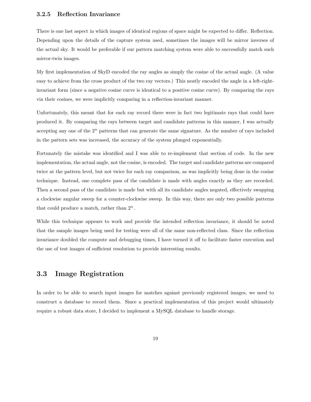### 3.2.5 Reflection Invariance

There is one last aspect in which images of identical regions of space might be expected to differ. Reflection. Depending upon the details of the capture system used, sometimes the images will be mirror inverses of the actual sky. It would be preferable if our pattern matching system were able to successfully match such mirror-twin images.

My first implementation of SkyD encoded the ray angles as simply the cosine of the actual angle. (A value easy to achieve from the cross product of the two ray vectors.) This neatly encoded the angle in a left-rightinvariant form (since a negative cosine curve is identical to a positive cosine curve). By comparing the rays via their cosines, we were implicitly comparing in a reflection-invariant manner.

Unfortunately, this meant that for each ray record there were in fact two legitimate rays that could have produced it. By comparing the rays between target and candidate patterns in this manner, I was actually accepting any one of the  $2^n$  patterns that can generate the same signature. As the number of rays included in the pattern sets was increased, the accuracy of the system plunged exponentially.

Fortunately the mistake was identified and I was able to re-implement that section of code. In the new implementation, the actual angle, not the cosine, is encoded. The target and candidate patterns are compared twice at the pattern level, but not twice for each ray comparison, as was implicitly being done in the cosine technique. Instead, one complete pass of the candidate is made with angles exactly as they are recorded. Then a second pass of the candidate is made but with all its candidate angles negated, effectively swapping a clockwise angular sweep for a counter-clockwise sweep. In this way, there are only two possible patterns that could produce a match, rather than  $2^n$ .

While this technique appears to work and provide the intended reflection invariance, it should be noted that the sample images being used for testing were all of the same non-reflected class. Since the reflection invariance doubled the compute and debugging times, I have turned it off to facilitate faster execution and the use of test images of sufficient resolution to provide interesting results.

### 3.3 Image Registration

In order to be able to search input images for matches against previously registered images, we need to construct a database to record them. Since a practical implementation of this project would ultimately require a robust data store, I decided to implement a MySQL database to handle storage.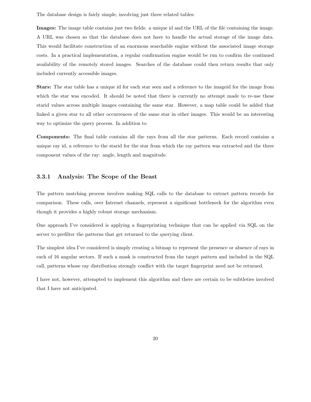The database design is fairly simple, involving just three related tables:

Images: The image table contains just two fields: a unique id and the URL of the file containing the image. A URL was chosen so that the database does not have to handle the actual storage of the image data. This would facilitate construction of an enormous searchable engine without the associated image storage costs. In a practical implementation, a regular confirmation engine would be run to confirm the continued availability of the remotely stored images. Searches of the database could then return results that only included currently accessible images.

Stars: The star table has a unique id for each star seen and a reference to the imageid for the image from which the star was encoded. It should be noted that there is currently no attempt made to re-use these starid values across multiple images containing the same star. However, a map table could be added that linked a given star to all other occurrences of the same star in other images. This would be an interesting way to optimize the query process. In addition to

Components: The final table contains all the rays from all the star patterns. Each record contains a unique ray id, a reference to the starid for the star from which the ray pattern was extracted and the three component values of the ray: angle, length and magnitude.

#### 3.3.1 Analysis: The Scope of the Beast

The pattern matching process involves making SQL calls to the database to extract pattern records for comparison. These calls, over Internet channels, represent a significant bottleneck for the algorithm even though it provides a highly robust storage mechanism.

One approach I've considered is applying a fingerprinting technique that can be applied via SQL on the server to prefilter the patterns that get returned to the querying client.

The simplest idea I've considered is simply creating a bitmap to represent the presence or absence of rays in each of 16 angular sectors. If such a mask is constructed from the target pattern and included in the SQL call, patterns whose ray distribution strongly conflict with the target fingerprint need not be returned.

I have not, however, attempted to implement this algorithm and there are certain to be subtleties involved that I have not anticipated.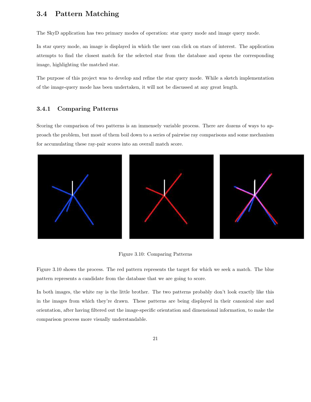### 3.4 Pattern Matching

The SkyD application has two primary modes of operation: star query mode and image query mode.

In star query mode, an image is displayed in which the user can click on stars of interest. The application attempts to find the closest match for the selected star from the database and opens the corresponding image, highlighting the matched star.

The purpose of this project was to develop and refine the star query mode. While a sketch implementation of the image-query mode has been undertaken, it will not be discussed at any great length.

#### 3.4.1 Comparing Patterns

Scoring the comparison of two patterns is an immensely variable process. There are dozens of ways to approach the problem, but most of them boil down to a series of pairwise ray comparisons and some mechanism for accumulating these ray-pair scores into an overall match score.



#### Figure 3.10: Comparing Patterns

Figure 3.10 shows the process. The red pattern represents the target for which we seek a match. The blue pattern represents a candidate from the database that we are going to score.

In both images, the white ray is the little brother. The two patterns probably don't look exactly like this in the images from which they're drawn. These patterns are being displayed in their canonical size and orientation, after having filtered out the image-specific orientation and dimensional information, to make the comparison process more visually understandable.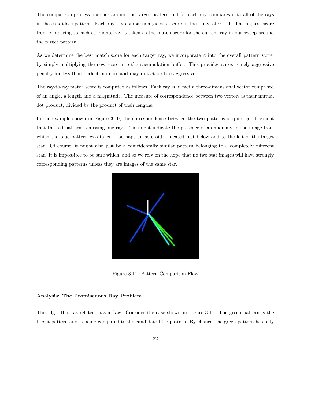The comparison process marches around the target pattern and for each ray, compares it to all of the rays in the candidate pattern. Each ray-ray comparison yields a score in the range of  $0 \cdots 1$ . The highest score from comparing to each candidate ray is taken as the match score for the current ray in our sweep around the target pattern.

As we determine the best match score for each target ray, we incorporate it into the overall pattern score, by simply multiplying the new score into the accumulation buffer. This provides an extremely aggressive penalty for less than perfect matches and may in fact be too aggressive.

The ray-to-ray match score is computed as follows. Each ray is in fact a three-dimensional vector comprised of an angle, a length and a magnitude. The measure of correspondence between two vectors is their mutual dot product, divided by the product of their lengths.

In the example shown in Figure 3.10, the correspondence between the two patterns is quite good, except that the red pattern is missing one ray. This might indicate the presence of an anomaly in the image from which the blue pattern was taken – perhaps an asteroid – located just below and to the left of the target star. Of course, it might also just be a coincidentally similar pattern belonging to a completely different star. It is impossible to be sure which, and so we rely on the hope that no two star images will have strongly corresponding patterns unless they are images of the same star.



Figure 3.11: Pattern Comparison Flaw

#### Analysis: The Promiscuous Ray Problem

This algorithm, as related, has a flaw. Consider the case shown in Figure 3.11. The green pattern is the target pattern and is being compared to the candidate blue pattern. By chance, the green pattern has only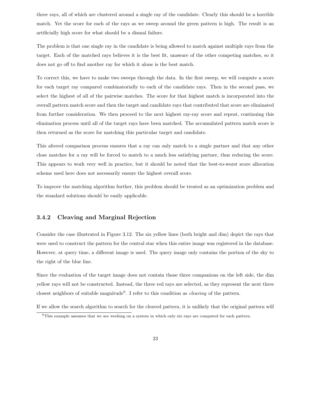three rays, all of which are clustered around a single ray of the candidate. Clearly this should be a horrible match. Yet the score for each of the rays as we sweep around the green pattern is high. The result is an artificially high score for what should be a dismal failure.

The problem is that one single ray in the candidate is being allowed to match against multiple rays from the target. Each of the matched rays believes it is the best fit, unaware of the other competing matches, so it does not go off to find another ray for which it alone is the best match.

To correct this, we have to make two sweeps through the data. In the first sweep, we will compute a score for each target ray compared combinatorially to each of the candidate rays. Then in the second pass, we select the highest of all of the pairwise matches. The score for that highest match is incorporated into the overall pattern match score and then the target and candidate rays that contributed that score are eliminated from further consideration. We then proceed to the next highest ray-ray score and repeat, continuing this elimination process until all of the target rays have been matched. The accumulated pattern match score is then returned as the score for matching this particular target and candidate.

This altered comparison process ensures that a ray can only match to a single partner and that any other close matches for a ray will be forced to match to a much less satisfying partner, thus reducing the score. This appears to work very well in practice, but it should be noted that the best-to-worst score allocation scheme used here does not necessarily ensure the highest overall score.

To improve the matching algorithm further, this problem should be treated as an optimization problem and the standard solutions should be easily applicable.

### 3.4.2 Cleaving and Marginal Rejection

Consider the case illustrated in Figure 3.12. The six yellow lines (both bright and dim) depict the rays that were used to construct the pattern for the central star when this entire image was registered in the database. However, at query time, a different image is used. The query image only contains the portion of the sky to the right of the blue line.

Since the evaluation of the target image does not contain those three companions on the left side, the dim yellow rays will not be constructed. Instead, the three red rays are selected, as they represent the next three closest neighbors of suitable magnitude<sup>6</sup>. I refer to this condition as *cleaving* of the pattern.

If we allow the search algorithm to search for the cleaved pattern, it is unlikely that the original pattern will

 $6$ This example assumes that we are working on a system in which only six rays are computed for each pattern.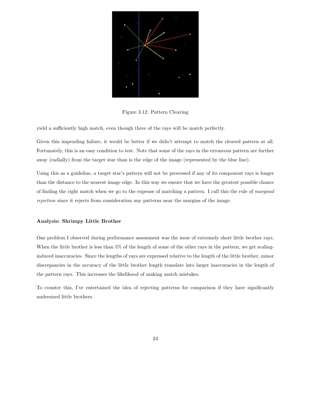

Figure 3.12: Pattern Cleaving

yield a sufficiently high match, even though three of the rays will be match perfectly.

Given this impending failure, it would be better if we didn't attempt to match the cleaved pattern at all. Fortunately, this is an easy condition to test. Note that some of the rays in the erroneous pattern are further away (radially) from the target star than is the edge of the image (represented by the blue line).

Using this as a guideline, a target star's pattern will not be processed if any of its component rays is longer than the distance to the nearest image edge. In this way we ensure that we have the greatest possible chance of finding the right match when we go to the expense of matching a pattern. I call this the rule of marginal rejection since it rejects from consideration any patterns near the margins of the image.

#### Analysis: Shrimpy Little Brother

One problem I observed during performance assessment was the issue of extremely short little brother rays. When the little brother is less than 5% of the length of some of the other rays in the pattern, we get scalinginduced inaccuracies. Since the lengths of rays are expressed relative to the length of the little brother, minor discrepancies in the accuracy of the little brother length translate into larger inaccuracies in the length of the pattern rays. This increases the likelihood of making match mistakes.

To counter this, I've entertained the idea of rejecting patterns for comparison if they have significantly undersized little brothers.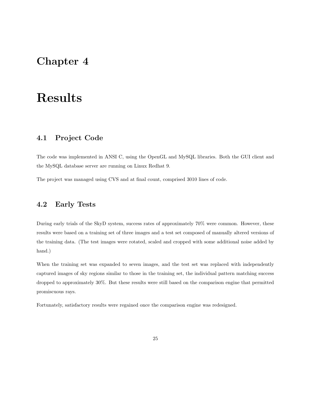## Chapter 4

## Results

## 4.1 Project Code

The code was implemented in ANSI C, using the OpenGL and MySQL libraries. Both the GUI client and the MySQL database server are running on Linux Redhat 9.

The project was managed using CVS and at final count, comprised 3010 lines of code.

## 4.2 Early Tests

During early trials of the SkyD system, success rates of approximately 70% were common. However, these results were based on a training set of three images and a test set composed of manually altered versions of the training data. (The test images were rotated, scaled and cropped with some additional noise added by hand.)

When the training set was expanded to seven images, and the test set was replaced with independently captured images of sky regions similar to those in the training set, the individual pattern matching success dropped to approximately 30%. But these results were still based on the comparison engine that permitted promiscuous rays.

Fortunately, satisfactory results were regained once the comparison engine was redesigned.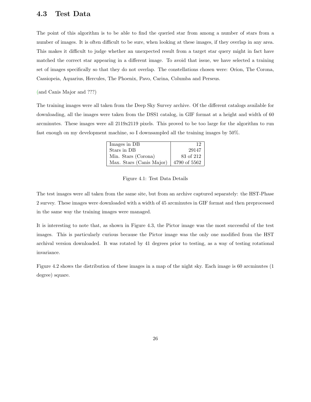### 4.3 Test Data

The point of this algorithm is to be able to find the queried star from among a number of stars from a number of images. It is often difficult to be sure, when looking at these images, if they overlap in any area. This makes it difficult to judge whether an unexpected result from a target star query might in fact have matched the correct star appearing in a different image. To avoid that issue, we have selected a training set of images specifically so that they do not overlap. The constellations chosen were: Orion, The Corona, Cassiopeia, Aquarius, Hercules, The Phoenix, Pavo, Carina, Columba and Perseus.

(and Canis Major and ???)

The training images were all taken from the Deep Sky Survey archive. Of the different catalogs available for downloading, all the images were taken from the DSS1 catalog, in GIF format at a height and width of 60 arcminutes. These images were all 2119x2119 pixels. This proved to be too large for the algorithm to run fast enough on my development machine, so I downsampled all the training images by 50%.

| Images in DB             | 19           |
|--------------------------|--------------|
| Stars in DB              | 29147        |
| Min. Stars (Corona)      | 83 of 212    |
| Max. Stars (Canis Major) | 4790 of 5562 |

Figure 4.1: Test Data Details

The test images were all taken from the same site, but from an archive captured separately: the HST-Phase 2 survey. These images were downloaded with a width of 45 arcminutes in GIF format and then preprocessed in the same way the training images were managed.

It is interesting to note that, as shown in Figure 4.3, the Pictor image was the most successful of the test images. This is particularly curious because the Pictor image was the only one modified from the HST archival version downloaded. It was rotated by 41 degrees prior to testing, as a way of testing rotational invariance.

Figure 4.2 shows the distribution of these images in a map of the night sky. Each image is 60 arcminutes (1 degree) square.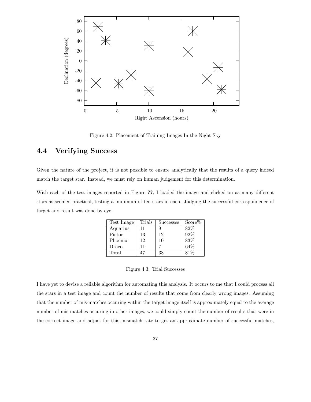

Figure 4.2: Placement of Training Images In the Night Sky

## 4.4 Verifying Success

Given the nature of the project, it is not possible to ensure analytically that the results of a query indeed match the target star. Instead, we must rely on human judgement for this determination.

With each of the test images reported in Figure ??, I loaded the image and clicked on as many different stars as seemed practical, testing a minimum of ten stars in each. Judging the successful correspondence of target and result was done by eye.

| Test Image | Trials | <b>Successes</b> | $Score\%$ |
|------------|--------|------------------|-----------|
| Aquarius   | 11     |                  | 82%       |
| Pictor     | 13     | 12               | 92%       |
| Phoenix    | 12     | 10               | 83%       |
| Draco      | 11     |                  | 64%       |
| Total      |        | 38               | 81%       |

Figure 4.3: Trial Successes

I have yet to devise a reliable algorithm for automating this analysis. It occurs to me that I could process all the stars in a test image and count the number of results that come from clearly wrong images. Assuming that the number of mis-matches occuring within the target image itself is approximately equal to the average number of mis-matches occuring in other images, we could simply count the number of results that were in the correct image and adjust for this mismatch rate to get an approximate number of successful matches,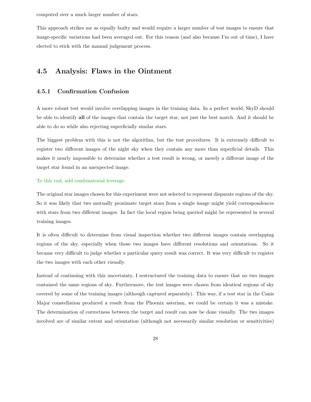computed over a much larger number of stars.

This approach strikes me as equally faulty and would require a larger number of test images to ensure that image-specific variations had been averaged out. For this reason (and also because I'm out of time), I have elected to stick with the manual judgement process.

## 4.5 Analysis: Flaws in the Ointment

#### 4.5.1 Confirmation Confusion

A more robust test would involve overlapping images in the training data. In a perfect world, SkyD should be able to identify all of the images that contain the target star, not just the best match. And it should be able to do so while also rejecting superficially similar stars.

The biggest problem with this is not the algorithm, but the test procedures. It is extremely difficult to register two different images of the night sky when they contain any more than superficial details. This makes it nearly impossible to determine whether a test result is wrong, or merely a different image of the target star found in an unexpected image.

#### To this end, add combinatorial leverage.

The original star images chosen for this experiment were not selected to represent disparate regions of the sky. So it was likely that two mutually proximate target stars from a single image might yield correspondences with stars from two different images. In fact the local region being queried might be represented in several training images.

It is often difficult to determine from visual inspection whether two different images contain overlapping regions of the sky, especially when those two images have different resolutions and orientations. So it became very difficult to judge whether a particular query result was correct. It was very difficult to register the two images with each other visually.

Instead of continuing with this uncertainty, I restructured the training data to ensure that no two images contained the same regions of sky. Furthermore, the test images were chosen from identical regions of sky covered by some of the training images (although captured separately). This way, if a test star in the Canis Major constellation produced a result from the Phoenix asterism, we could be certain it was a mistake. The determination of correctness between the target and result can now be done visually. The two images involved are of similar extent and orientation (although not necessarily similar resolution or sensitivities)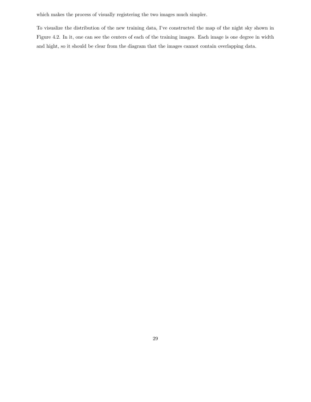which makes the process of visually registering the two images much simpler.

To visualize the distribution of the new training data, I've constructed the map of the night sky shown in Figure 4.2. In it, one can see the centers of each of the training images. Each image is one degree in width and hight, so it should be clear from the diagram that the images cannot contain overlapping data.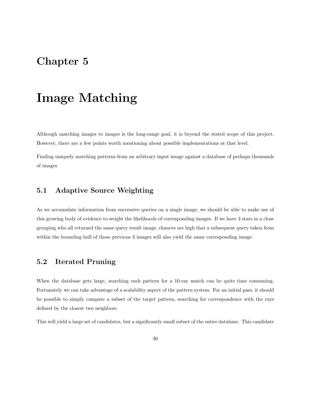## Chapter 5

## Image Matching

Although matching images to images is the long-range goal, it is beyond the stated scope of this project. However, there are a few points worth mentioning about possible implementations at that level.

Finding uniquely matching patterns from an arbitrary input image against a database of perhaps thousands of images

## 5.1 Adaptive Source Weighting

As we accumulate information from successive queries on a single image, we should be able to make use of this growing body of evidence to weight the likelihoods of corresponding images. If we have 3 stars in a close grouping who all returned the same query result image, chances are high that a subsequent query taken from within the bounding hull of those previous 3 images will also yield the same corresponding image.

### 5.2 Iterated Pruning

When the database gets large, searching each pattern for a 10-ray match can be quite time consuming. Fortunately we can take advantage of a scalability aspect of the pattern system. For an initial pass, it should be possible to simply compare a subset of the target pattern, searching for correspondence with the rays defined by the closest two neighbors.

This will yield a large set of candidates, but a significantly small subset of the entire database. This candidate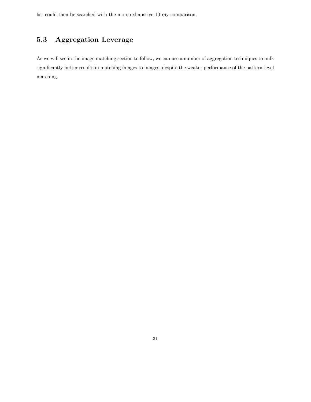list could then be searched with the more exhaustive 10-ray comparison.

## 5.3 Aggregation Leverage

As we will see in the image matching section to follow, we can use a number of aggregation techniques to milk significantly better results in matching images to images, despite the weaker performance of the pattern-level matching.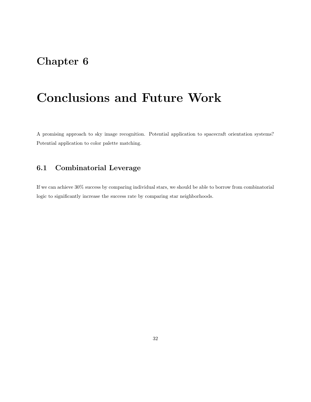## Chapter 6

# Conclusions and Future Work

A promising approach to sky image recognition. Potential application to spacecraft orientation systems? Potential application to color palette matching.

## 6.1 Combinatorial Leverage

If we can achieve 30% success by comparing individual stars, we should be able to borrow from combinatorial logic to significantly increase the success rate by comparing star neighborhoods.